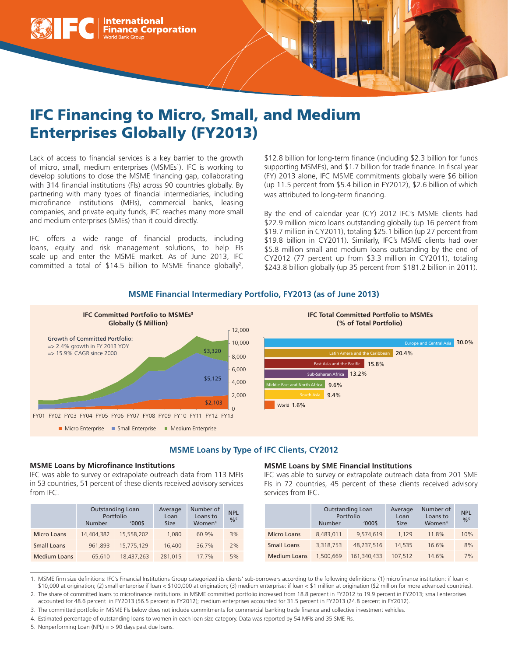

# IFC Financing to Micro, Small, and Medium Enterprises Globally (FY2013)

Lack of access to financial services is a key barrier to the growth of micro, small, medium enterprises (MSMEs<sup>1</sup>). IFC is working to develop solutions to close the MSME financing gap, collaborating with 314 financial institutions (FIs) across 90 countries globally. By partnering with many types of financial intermediaries, including microfinance institutions (MFIs), commercial banks, leasing companies, and private equity funds, IFC reaches many more small and medium enterprises (SMEs) than it could directly.

IFC offers a wide range of financial products, including loans, equity and risk management solutions, to help FIs scale up and enter the MSME market. As of June 2013, IFC committed a total of \$14.5 billion to MSME finance globally2 , \$12.8 billion for long-term finance (including \$2.3 billion for funds supporting MSMEs), and \$1.7 billion for trade finance. In fiscal year (FY) 2013 alone, IFC MSME commitments globally were \$6 billion (up 11.5 percent from \$5.4 billion in FY2012), \$2.6 billion of which was attributed to long-term financing.

By the end of calendar year (CY) 2012 IFC's MSME clients had \$22.9 million micro loans outstanding globally (up 16 percent from \$19.7 million in CY2011), totaling \$25.1 billion (up 27 percent from \$19.8 billion in CY2011). Similarly, IFC's MSME clients had over \$5.8 million small and medium loans outstanding by the end of CY2012 (77 percent up from \$3.3 million in CY2011), totaling \$243.8 billion globally (up 35 percent from \$181.2 billion in 2011).

# **MSME Financial Intermediary Portfolio, FY2013 (as of June 2013)**



# **MSME Loans by Type of IFC Clients, CY2012**

#### **MSME Loans by Microfinance Institutions**

IFC was able to survey or extrapolate outreach data from 113 MFIs in 53 countries, 51 percent of these clients received advisory services from IFC.

|                     | Number     | <b>Outstanding Loan</b><br>Portfolio<br>'000\$ | Average<br>Loan<br><b>Size</b> | Number of<br>Loans to<br>Women <sup>4</sup> | <b>NPL</b><br>$^{0}/_{0}$ <sup>5</sup> |
|---------------------|------------|------------------------------------------------|--------------------------------|---------------------------------------------|----------------------------------------|
| <b>Micro Loans</b>  | 14,404,382 | 15,558,202                                     | 1,080                          | 60.9%                                       | 3%                                     |
| <b>Small Loans</b>  | 961.893    | 15.775.129                                     | 16,400                         | 36.7%                                       | 2%                                     |
| <b>Medium Loans</b> | 65,610     | 18,437,263                                     | 281.015                        | $17.7\%$                                    | 5%                                     |

#### **MSME Loans by SME Financial Institutions**

IFC was able to survey or extrapolate outreach data from 201 SME FIs in 72 countries, 45 percent of these clients received advisory services from IFC.

|                     | <b>Number</b> | <b>Outstanding Loan</b><br>Portfolio<br>'000\$ | Average<br>Loan<br><b>Size</b> | Number of<br>Loans to<br>Women <sup>4</sup> | <b>NPL</b><br>$0/6^5$ |
|---------------------|---------------|------------------------------------------------|--------------------------------|---------------------------------------------|-----------------------|
| <b>Micro Loans</b>  | 8,483,011     | 9,574,619                                      | 1.129                          | 11.8%                                       | 10%                   |
| <b>Small Loans</b>  | 3.318.753     | 48.237.516                                     | 14,535                         | 16.6%                                       | 8%                    |
| <b>Medium Loans</b> | 1,500,669     | 161,340,433                                    | 107.512                        | 14.6%                                       | 7%                    |

<sup>1.</sup> MSME firm size definitions: IFC's Financial Institutions Group categorized its clients' sub-borrowers according to the following definitions: (1) microfinance institution: if loan < \$10,000 at origination; (2) small enterprise if loan < \$100,000 at origination; (3) medium enterprise: if loan < \$1 million at origination (\$2 million for more advanced countries).

5. Nonperforming Loan (NPL)  $=$  > 90 days past due loans.

<sup>2.</sup> The share of committed loans to microfinance institutions in MSME committed portfolio increased from 18.8 percent in FY2012 to 19.9 percent in FY2013; small enterprises

accounted for 48.6 percent in FY2013 (56.5 percent in FY2012); medium enterprises accounted for 31.5 percent in FY2013 (24.8 percent in FY2012).

<sup>3.</sup> The committed portfolio in MSME FIs below does not include commitments for commercial banking trade finance and collective investment vehicles.

<sup>4.</sup> Estimated percentage of outstanding loans to women in each loan size category. Data was reported by 54 MFIs and 35 SME FIs.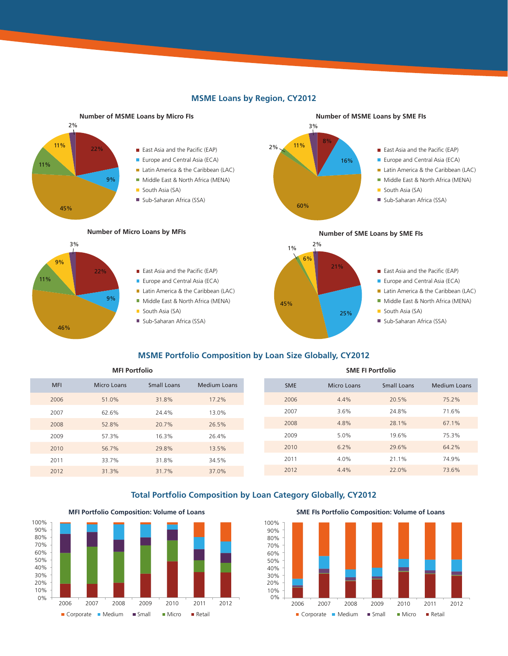

# **MSME Loans by Region, CY2012**

# **MSME Portfolio Composition by Loan Size Globally, CY2012**

**MFI Portfolio SME FI Portfolio**

| <b>MFI</b> | <b>Micro Loans</b> | Small Loans | Medium Loans |
|------------|--------------------|-------------|--------------|
| 2006       | 51.0%              | 31.8%       | 17.2%        |
| 2007       | 62.6%              | 24.4%       | 13.0%        |
| 2008       | 52.8%              | 20.7%       | 26.5%        |
| 2009       | 57.3%              | 16.3%       | 26.4%        |
| 2010       | 56.7%              | 29.8%       | 13.5%        |
| 2011       | 33.7%              | 31.8%       | 34.5%        |
| 2012       | 31.3%              | 31.7%       | 37.0%        |

# **Total Portfolio Composition by Loan Category Globally, CY2012**

Corporate Medium Small Micro Retail Corporate Medium Small Micro Retail 0% 10% 20% 30% 40% 50% 60% 70% 80% 90% 100% 2006 2007 2008 2009 2010 2011 2012

**MFI Portfolio Composition: Volume of Loans SME FIs Portfolio Composition: Volume of Loans**

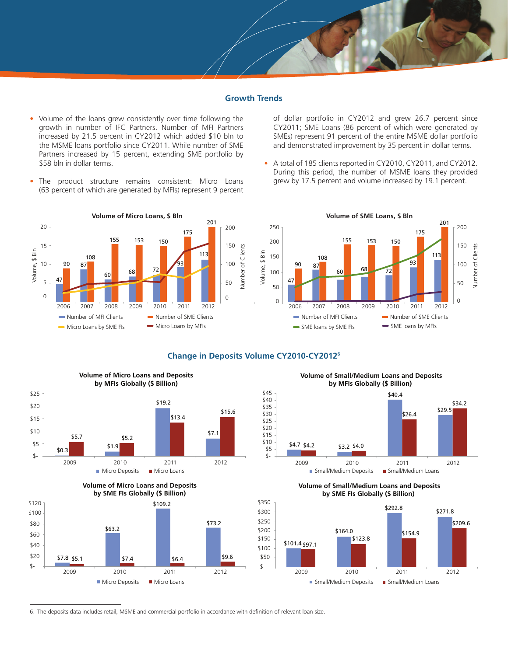#### **Growth Trends**

- Volume of the loans grew consistently over time following the growth in number of IFC Partners. Number of MFI Partners increased by 21.5 percent in CY2012 which added \$10 bln to the MSME loans portfolio since CY2011. While number of SME Partners increased by 15 percent, extending SME portfolio by \$58 bln in dollar terms.
- The product structure remains consistent: Micro Loans (63 percent of which are generated by MFIs) represent 9 percent

of dollar portfolio in CY2012 and grew 26.7 percent since CY2011; SME Loans (86 percent of which were generated by SMEs) represent 91 percent of the entire MSME dollar portfolio and demonstrated improvement by 35 percent in dollar terms.

• A total of 185 clients reported in CY2010, CY2011, and CY2012. During this period, the number of MSME loans they provided grew by 17.5 percent and volume increased by 19.1 percent.



### **Change in Deposits Volume CY2010-CY2012**<sup>6</sup>



2009 2010 2011 2012

**Volume of Small/Medium Loans and Deposits by MFIs Globally (\$ Billion)** 



**Volume of Small/Medium Loans and Deposits by SME FIs Globally (\$ Billion)**